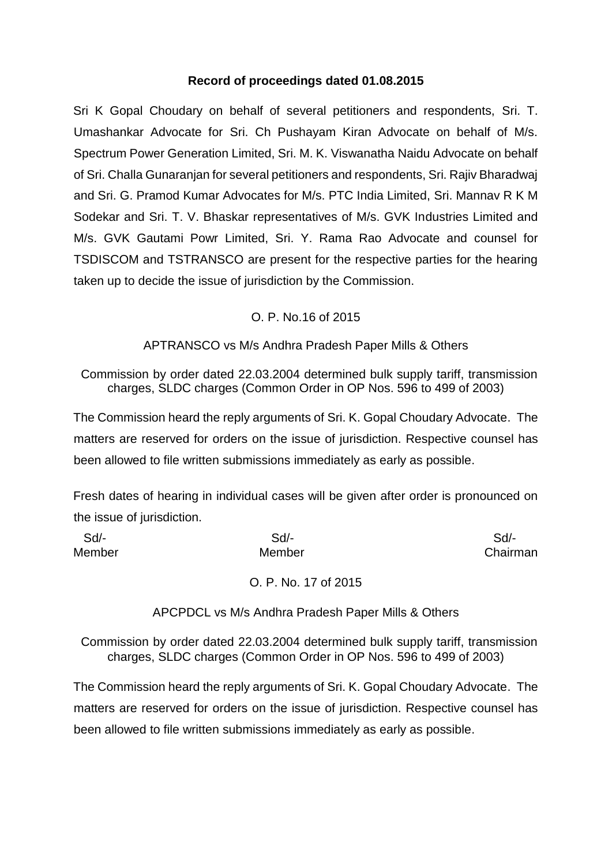#### **Record of proceedings dated 01.08.2015**

Sri K Gopal Choudary on behalf of several petitioners and respondents, Sri. T. Umashankar Advocate for Sri. Ch Pushayam Kiran Advocate on behalf of M/s. Spectrum Power Generation Limited, Sri. M. K. Viswanatha Naidu Advocate on behalf of Sri. Challa Gunaranjan for several petitioners and respondents, Sri. Rajiv Bharadwaj and Sri. G. Pramod Kumar Advocates for M/s. PTC India Limited, Sri. Mannav R K M Sodekar and Sri. T. V. Bhaskar representatives of M/s. GVK Industries Limited and M/s. GVK Gautami Powr Limited, Sri. Y. Rama Rao Advocate and counsel for TSDISCOM and TSTRANSCO are present for the respective parties for the hearing taken up to decide the issue of jurisdiction by the Commission.

# O. P. No.16 of 2015

# APTRANSCO vs M/s Andhra Pradesh Paper Mills & Others

Commission by order dated 22.03.2004 determined bulk supply tariff, transmission charges, SLDC charges (Common Order in OP Nos. 596 to 499 of 2003)

The Commission heard the reply arguments of Sri. K. Gopal Choudary Advocate. The matters are reserved for orders on the issue of jurisdiction. Respective counsel has been allowed to file written submissions immediately as early as possible.

Fresh dates of hearing in individual cases will be given after order is pronounced on the issue of jurisdiction.

| Sd/-   | $Sd$ -               | Sd       |
|--------|----------------------|----------|
| Member | Member               | Chairman |
|        | O. P. No. 17 of 2015 |          |

APCPDCL vs M/s Andhra Pradesh Paper Mills & Others

Commission by order dated 22.03.2004 determined bulk supply tariff, transmission charges, SLDC charges (Common Order in OP Nos. 596 to 499 of 2003)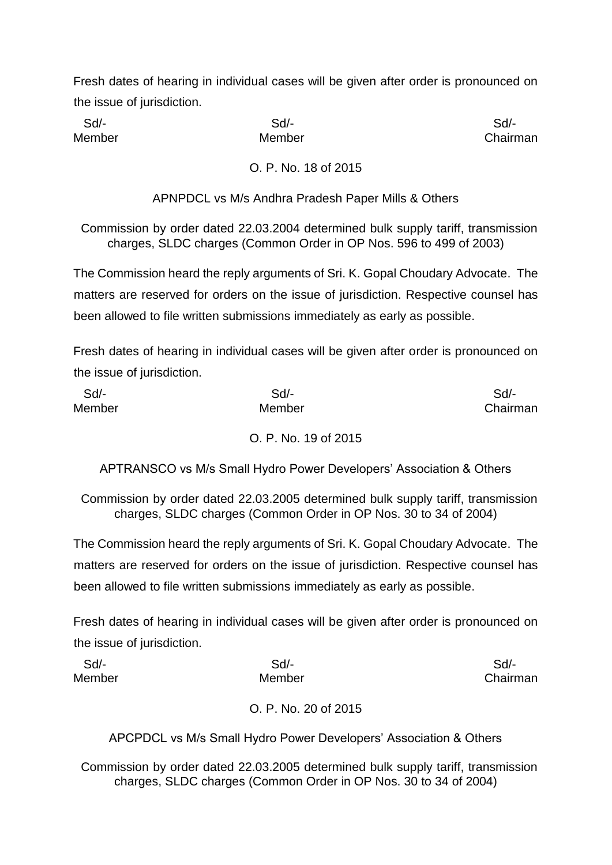Sd/- Sd/- Sd/-

Member **Member** Member **Chairman** 

O. P. No. 18 of 2015

APNPDCL vs M/s Andhra Pradesh Paper Mills & Others

Commission by order dated 22.03.2004 determined bulk supply tariff, transmission charges, SLDC charges (Common Order in OP Nos. 596 to 499 of 2003)

The Commission heard the reply arguments of Sri. K. Gopal Choudary Advocate. The matters are reserved for orders on the issue of jurisdiction. Respective counsel has been allowed to file written submissions immediately as early as possible.

Fresh dates of hearing in individual cases will be given after order is pronounced on the issue of jurisdiction.

| Sd/-   | Sd/-   | Sd/-     |
|--------|--------|----------|
| Member | Member | Chairman |
|        |        |          |

O. P. No. 19 of 2015

APTRANSCO vs M/s Small Hydro Power Developers' Association & Others

Commission by order dated 22.03.2005 determined bulk supply tariff, transmission charges, SLDC charges (Common Order in OP Nos. 30 to 34 of 2004)

The Commission heard the reply arguments of Sri. K. Gopal Choudary Advocate. The matters are reserved for orders on the issue of jurisdiction. Respective counsel has been allowed to file written submissions immediately as early as possible.

Fresh dates of hearing in individual cases will be given after order is pronounced on the issue of jurisdiction.

| Sd/-   | Sd/-   | Sd/-     |
|--------|--------|----------|
| Member | Member | Chairman |
|        |        |          |

O. P. No. 20 of 2015

APCPDCL vs M/s Small Hydro Power Developers' Association & Others

Commission by order dated 22.03.2005 determined bulk supply tariff, transmission charges, SLDC charges (Common Order in OP Nos. 30 to 34 of 2004)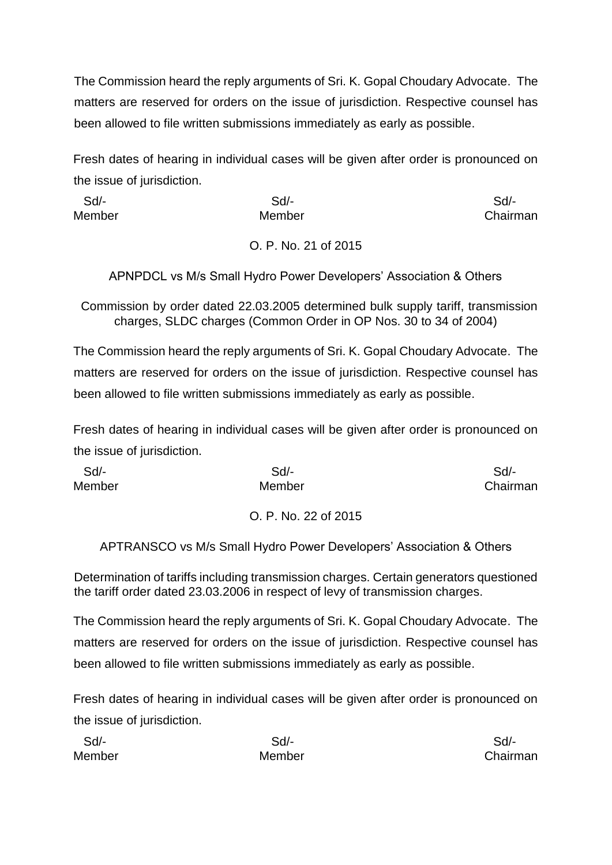The Commission heard the reply arguments of Sri. K. Gopal Choudary Advocate. The matters are reserved for orders on the issue of jurisdiction. Respective counsel has been allowed to file written submissions immediately as early as possible.

Fresh dates of hearing in individual cases will be given after order is pronounced on the issue of jurisdiction.

 Sd/- Sd/- Sd/- Member **Member** Member **Chairman** O. P. No. 21 of 2015

APNPDCL vs M/s Small Hydro Power Developers' Association & Others

Commission by order dated 22.03.2005 determined bulk supply tariff, transmission charges, SLDC charges (Common Order in OP Nos. 30 to 34 of 2004)

The Commission heard the reply arguments of Sri. K. Gopal Choudary Advocate. The matters are reserved for orders on the issue of jurisdiction. Respective counsel has been allowed to file written submissions immediately as early as possible.

Fresh dates of hearing in individual cases will be given after order is pronounced on the issue of jurisdiction.

| Sd/-   | Sd/-   | Sd       |
|--------|--------|----------|
| Member | Member | Chairman |
|        |        |          |

# O. P. No. 22 of 2015

APTRANSCO vs M/s Small Hydro Power Developers' Association & Others

Determination of tariffs including transmission charges. Certain generators questioned the tariff order dated 23.03.2006 in respect of levy of transmission charges.

The Commission heard the reply arguments of Sri. K. Gopal Choudary Advocate. The matters are reserved for orders on the issue of jurisdiction. Respective counsel has been allowed to file written submissions immediately as early as possible.

| Sd     | Sd/-   | Sd/-     |
|--------|--------|----------|
| Member | Member | Chairman |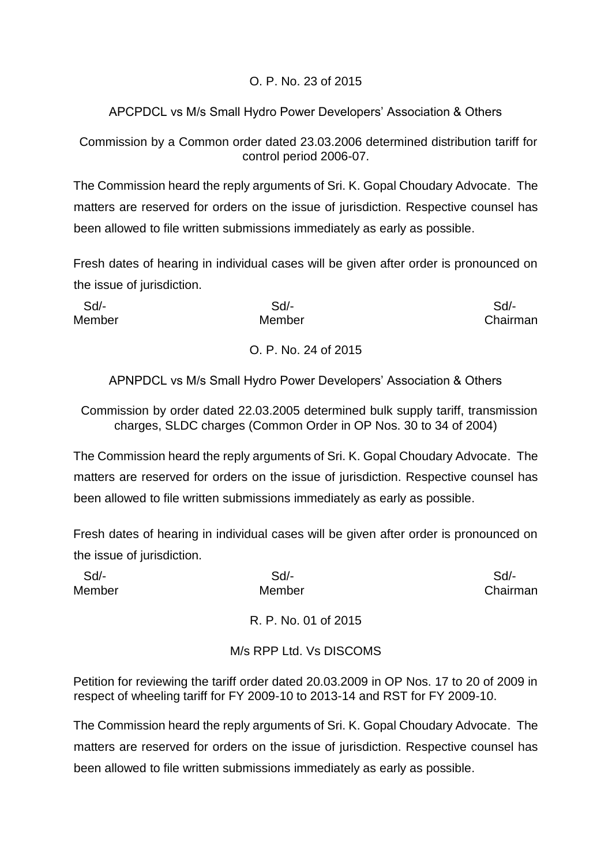# O. P. No. 23 of 2015

# APCPDCL vs M/s Small Hydro Power Developers' Association & Others

Commission by a Common order dated 23.03.2006 determined distribution tariff for control period 2006-07.

The Commission heard the reply arguments of Sri. K. Gopal Choudary Advocate. The matters are reserved for orders on the issue of jurisdiction. Respective counsel has been allowed to file written submissions immediately as early as possible.

Fresh dates of hearing in individual cases will be given after order is pronounced on the issue of jurisdiction.

| Sd/-   | $Sd$ -               | Sd/-     |
|--------|----------------------|----------|
| Member | Member               | Chairman |
|        | O. P. No. 24 of 2015 |          |

APNPDCL vs M/s Small Hydro Power Developers' Association & Others

Commission by order dated 22.03.2005 determined bulk supply tariff, transmission charges, SLDC charges (Common Order in OP Nos. 30 to 34 of 2004)

The Commission heard the reply arguments of Sri. K. Gopal Choudary Advocate. The matters are reserved for orders on the issue of jurisdiction. Respective counsel has been allowed to file written submissions immediately as early as possible.

Fresh dates of hearing in individual cases will be given after order is pronounced on the issue of jurisdiction.

| Sd/-   | $Sd$ -                  | Sd       |
|--------|-------------------------|----------|
| Member | Member                  | Chairman |
|        | R. P. No. 01 of 2015    |          |
|        | M/s RPP Ltd. Vs DISCOMS |          |

Petition for reviewing the tariff order dated 20.03.2009 in OP Nos. 17 to 20 of 2009 in respect of wheeling tariff for FY 2009-10 to 2013-14 and RST for FY 2009-10.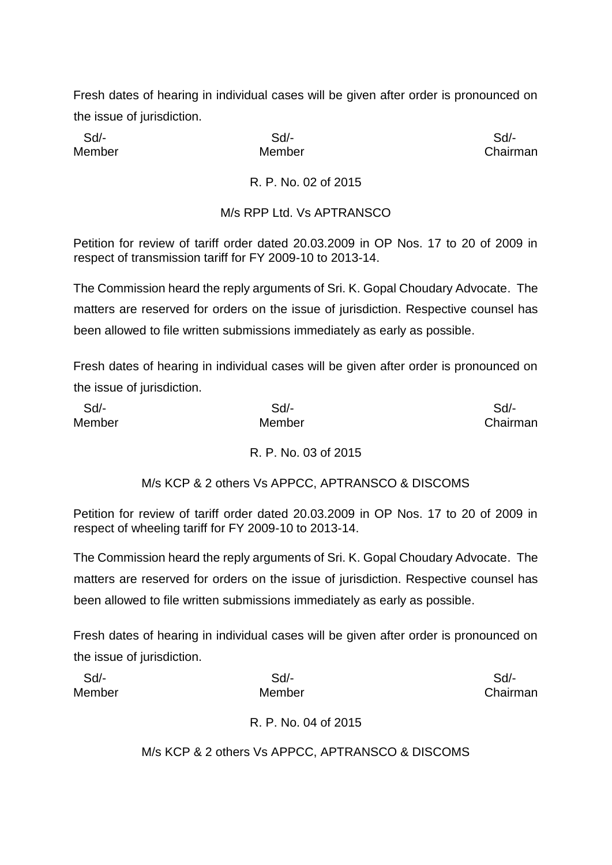Sd/- Sd/- Sd/-

Member Member Chairman

# R. P. No. 02 of 2015

#### M/s RPP Ltd. Vs APTRANSCO

Petition for review of tariff order dated 20.03.2009 in OP Nos. 17 to 20 of 2009 in respect of transmission tariff for FY 2009-10 to 2013-14.

The Commission heard the reply arguments of Sri. K. Gopal Choudary Advocate. The matters are reserved for orders on the issue of jurisdiction. Respective counsel has been allowed to file written submissions immediately as early as possible.

Fresh dates of hearing in individual cases will be given after order is pronounced on the issue of jurisdiction.

| Sd     | $Sd$ - | Sd/-     |
|--------|--------|----------|
| Member | Member | Chairman |

# R. P. No. 03 of 2015

# M/s KCP & 2 others Vs APPCC, APTRANSCO & DISCOMS

Petition for review of tariff order dated 20.03.2009 in OP Nos. 17 to 20 of 2009 in respect of wheeling tariff for FY 2009-10 to 2013-14.

The Commission heard the reply arguments of Sri. K. Gopal Choudary Advocate. The matters are reserved for orders on the issue of jurisdiction. Respective counsel has been allowed to file written submissions immediately as early as possible.

Fresh dates of hearing in individual cases will be given after order is pronounced on the issue of jurisdiction.

| Sd/-   | Sd     | Sd/-     |
|--------|--------|----------|
| Member | Member | Chairman |

R. P. No. 04 of 2015

M/s KCP & 2 others Vs APPCC, APTRANSCO & DISCOMS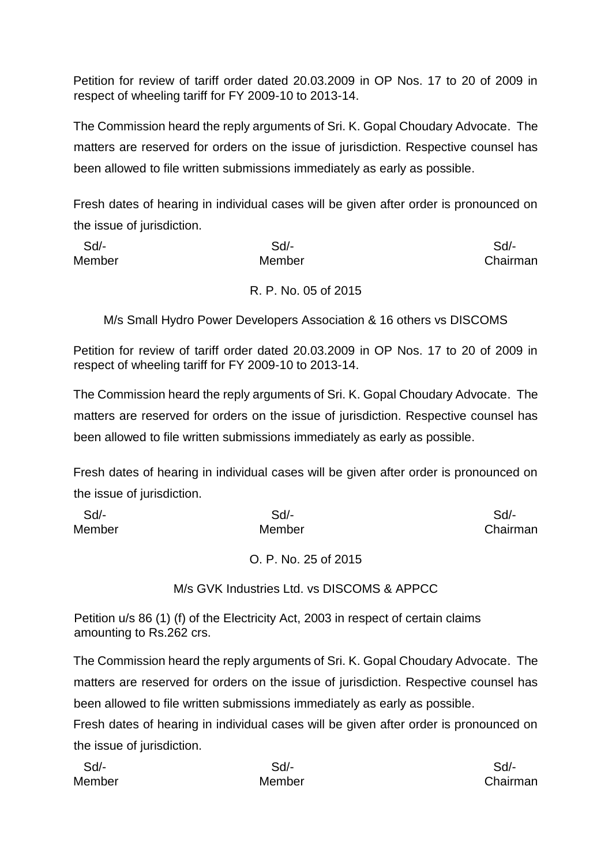Petition for review of tariff order dated 20.03.2009 in OP Nos. 17 to 20 of 2009 in respect of wheeling tariff for FY 2009-10 to 2013-14.

The Commission heard the reply arguments of Sri. K. Gopal Choudary Advocate. The matters are reserved for orders on the issue of jurisdiction. Respective counsel has been allowed to file written submissions immediately as early as possible.

Fresh dates of hearing in individual cases will be given after order is pronounced on the issue of jurisdiction.

| Sd/-   | Sd/-   | Sd       |
|--------|--------|----------|
| Member | Member | Chairman |
|        |        |          |

# R. P. No. 05 of 2015

M/s Small Hydro Power Developers Association & 16 others vs DISCOMS

Petition for review of tariff order dated 20.03.2009 in OP Nos. 17 to 20 of 2009 in respect of wheeling tariff for FY 2009-10 to 2013-14.

The Commission heard the reply arguments of Sri. K. Gopal Choudary Advocate. The matters are reserved for orders on the issue of jurisdiction. Respective counsel has been allowed to file written submissions immediately as early as possible.

Fresh dates of hearing in individual cases will be given after order is pronounced on the issue of jurisdiction.

| Sd/-   | Sd/-   | Sd/-     |
|--------|--------|----------|
| Member | Member | Chairman |

O. P. No. 25 of 2015

M/s GVK Industries Ltd. vs DISCOMS & APPCC

Petition u/s 86 (1) (f) of the Electricity Act, 2003 in respect of certain claims amounting to Rs.262 crs.

The Commission heard the reply arguments of Sri. K. Gopal Choudary Advocate. The matters are reserved for orders on the issue of jurisdiction. Respective counsel has been allowed to file written submissions immediately as early as possible.

| Sd     | Sd/-   | Sd/-     |
|--------|--------|----------|
| Member | Member | Chairman |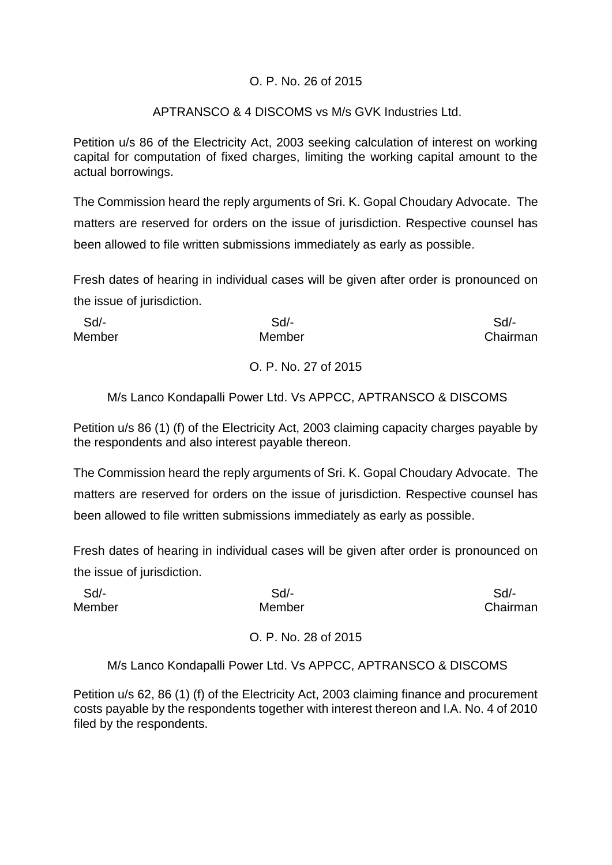#### O. P. No. 26 of 2015

#### APTRANSCO & 4 DISCOMS vs M/s GVK Industries Ltd.

Petition u/s 86 of the Electricity Act, 2003 seeking calculation of interest on working capital for computation of fixed charges, limiting the working capital amount to the actual borrowings.

The Commission heard the reply arguments of Sri. K. Gopal Choudary Advocate. The matters are reserved for orders on the issue of jurisdiction. Respective counsel has been allowed to file written submissions immediately as early as possible.

Fresh dates of hearing in individual cases will be given after order is pronounced on the issue of jurisdiction.

| Sd/-   | Sd/-   | Sd/-     |
|--------|--------|----------|
| Member | Member | Chairman |
|        |        |          |

# O. P. No. 27 of 2015

# M/s Lanco Kondapalli Power Ltd. Vs APPCC, APTRANSCO & DISCOMS

Petition u/s 86 (1) (f) of the Electricity Act, 2003 claiming capacity charges payable by the respondents and also interest payable thereon.

The Commission heard the reply arguments of Sri. K. Gopal Choudary Advocate. The matters are reserved for orders on the issue of jurisdiction. Respective counsel has been allowed to file written submissions immediately as early as possible.

Fresh dates of hearing in individual cases will be given after order is pronounced on the issue of jurisdiction.

| Sd/-   | Sd/-   | Sd/-     |
|--------|--------|----------|
| Member | Member | Chairman |
|        |        |          |

O. P. No. 28 of 2015

M/s Lanco Kondapalli Power Ltd. Vs APPCC, APTRANSCO & DISCOMS

Petition u/s 62, 86 (1) (f) of the Electricity Act, 2003 claiming finance and procurement costs payable by the respondents together with interest thereon and I.A. No. 4 of 2010 filed by the respondents.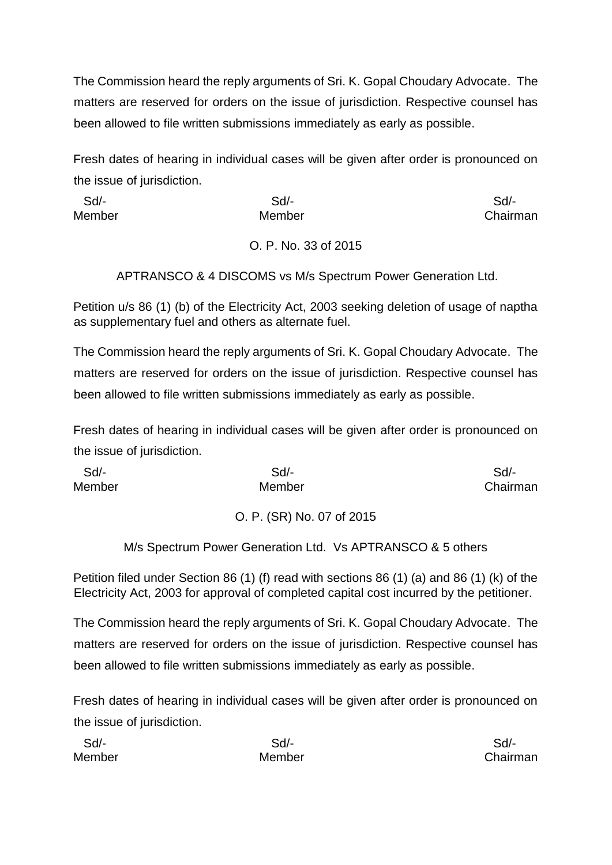The Commission heard the reply arguments of Sri. K. Gopal Choudary Advocate. The matters are reserved for orders on the issue of jurisdiction. Respective counsel has been allowed to file written submissions immediately as early as possible.

Fresh dates of hearing in individual cases will be given after order is pronounced on the issue of jurisdiction.

 Sd/- Sd/- Sd/- Member Member Chairman O. P. No. 33 of 2015

APTRANSCO & 4 DISCOMS vs M/s Spectrum Power Generation Ltd.

Petition u/s 86 (1) (b) of the Electricity Act, 2003 seeking deletion of usage of naptha as supplementary fuel and others as alternate fuel.

The Commission heard the reply arguments of Sri. K. Gopal Choudary Advocate. The matters are reserved for orders on the issue of jurisdiction. Respective counsel has been allowed to file written submissions immediately as early as possible.

Fresh dates of hearing in individual cases will be given after order is pronounced on the issue of jurisdiction.

| Sd/-   | Sd/-   | Sd/-     |
|--------|--------|----------|
| Member | Member | Chairman |

# O. P. (SR) No. 07 of 2015

M/s Spectrum Power Generation Ltd. Vs APTRANSCO & 5 others

Petition filed under Section 86 (1) (f) read with sections 86 (1) (a) and 86 (1) (k) of the Electricity Act, 2003 for approval of completed capital cost incurred by the petitioner.

The Commission heard the reply arguments of Sri. K. Gopal Choudary Advocate. The matters are reserved for orders on the issue of jurisdiction. Respective counsel has been allowed to file written submissions immediately as early as possible.

| Sd/-   | Sd/-   | Sd/-     |
|--------|--------|----------|
| Member | Member | Chairman |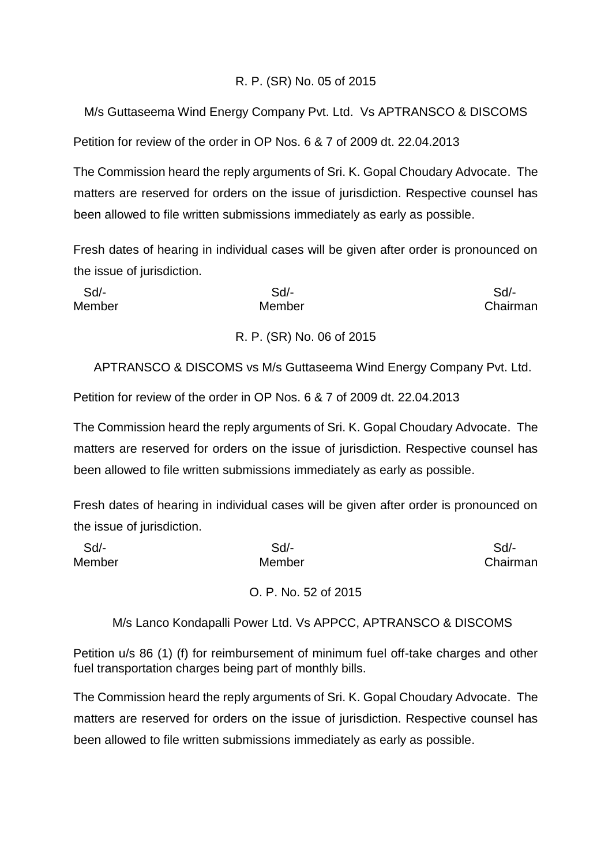#### R. P. (SR) No. 05 of 2015

M/s Guttaseema Wind Energy Company Pvt. Ltd. Vs APTRANSCO & DISCOMS

Petition for review of the order in OP Nos. 6 & 7 of 2009 dt. 22.04.2013

The Commission heard the reply arguments of Sri. K. Gopal Choudary Advocate. The matters are reserved for orders on the issue of jurisdiction. Respective counsel has been allowed to file written submissions immediately as early as possible.

Fresh dates of hearing in individual cases will be given after order is pronounced on the issue of jurisdiction.

| Sd/-   | $Sd$ - | Sd/-     |
|--------|--------|----------|
| Member | Member | Chairman |
|        |        |          |

#### R. P. (SR) No. 06 of 2015

APTRANSCO & DISCOMS vs M/s Guttaseema Wind Energy Company Pvt. Ltd.

Petition for review of the order in OP Nos. 6 & 7 of 2009 dt. 22.04.2013

The Commission heard the reply arguments of Sri. K. Gopal Choudary Advocate. The matters are reserved for orders on the issue of jurisdiction. Respective counsel has been allowed to file written submissions immediately as early as possible.

Fresh dates of hearing in individual cases will be given after order is pronounced on the issue of jurisdiction.

| Sd/-   | $Sd$ -               | Sd/-     |
|--------|----------------------|----------|
| Member | Member               | Chairman |
|        | O. P. No. 52 of 2015 |          |

M/s Lanco Kondapalli Power Ltd. Vs APPCC, APTRANSCO & DISCOMS

Petition u/s 86 (1) (f) for reimbursement of minimum fuel off-take charges and other fuel transportation charges being part of monthly bills.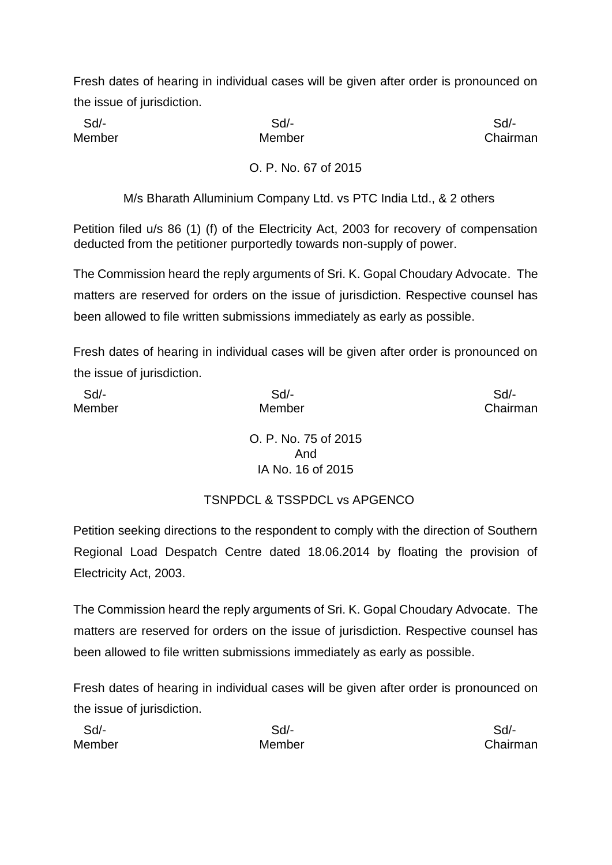Sd/- Sd/- Sd/-

Member **Member** Member **Chairman** 

O. P. No. 67 of 2015

M/s Bharath Alluminium Company Ltd. vs PTC India Ltd., & 2 others

Petition filed u/s 86 (1) (f) of the Electricity Act, 2003 for recovery of compensation deducted from the petitioner purportedly towards non-supply of power.

The Commission heard the reply arguments of Sri. K. Gopal Choudary Advocate. The matters are reserved for orders on the issue of jurisdiction. Respective counsel has been allowed to file written submissions immediately as early as possible.

Fresh dates of hearing in individual cases will be given after order is pronounced on the issue of jurisdiction.

| Sd/-   | $Sd$ -                     | Sd       |
|--------|----------------------------|----------|
| Member | Member                     | Chairman |
|        | O. P. No. 75 of 2015       |          |
|        | And                        |          |
|        | IA No. 16 of 2015          |          |
|        | -- - - - - - - - - - - - - |          |

TSNPDCL & TSSPDCL vs APGENCO

Petition seeking directions to the respondent to comply with the direction of Southern Regional Load Despatch Centre dated 18.06.2014 by floating the provision of Electricity Act, 2003.

The Commission heard the reply arguments of Sri. K. Gopal Choudary Advocate. The matters are reserved for orders on the issue of jurisdiction. Respective counsel has been allowed to file written submissions immediately as early as possible.

| Sd     | Sd/-   | Sd/-     |
|--------|--------|----------|
| Member | Member | Chairman |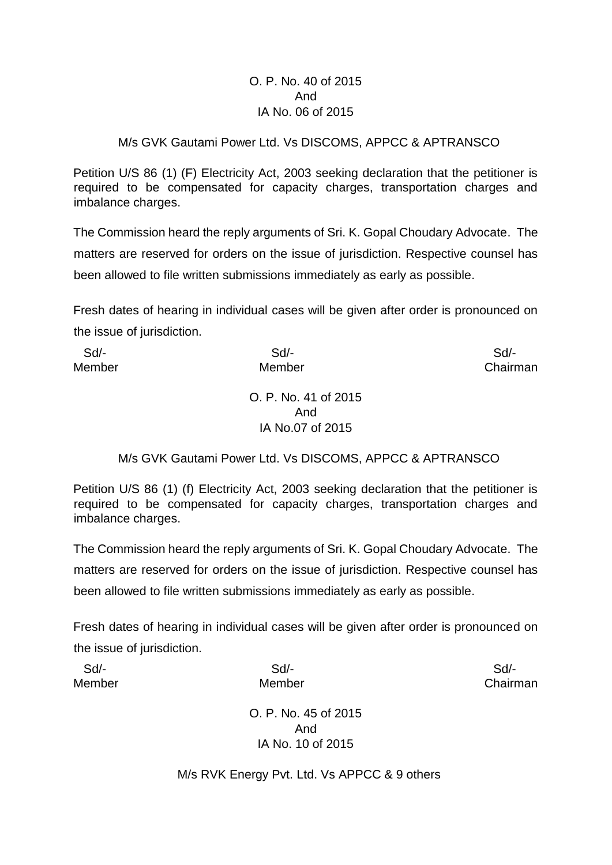#### O. P. No. 40 of 2015 And IA No. 06 of 2015

#### M/s GVK Gautami Power Ltd. Vs DISCOMS, APPCC & APTRANSCO

Petition U/S 86 (1) (F) Electricity Act, 2003 seeking declaration that the petitioner is required to be compensated for capacity charges, transportation charges and imbalance charges.

The Commission heard the reply arguments of Sri. K. Gopal Choudary Advocate. The matters are reserved for orders on the issue of jurisdiction. Respective counsel has been allowed to file written submissions immediately as early as possible.

Fresh dates of hearing in individual cases will be given after order is pronounced on the issue of jurisdiction.

| Sd/-   | $Sd$ -               | Sd       |
|--------|----------------------|----------|
| Member | Member               | Chairman |
|        | O. P. No. 41 of 2015 |          |
|        | And                  |          |
|        | IA No.07 of 2015     |          |

#### M/s GVK Gautami Power Ltd. Vs DISCOMS, APPCC & APTRANSCO

Petition U/S 86 (1) (f) Electricity Act, 2003 seeking declaration that the petitioner is required to be compensated for capacity charges, transportation charges and imbalance charges.

The Commission heard the reply arguments of Sri. K. Gopal Choudary Advocate. The matters are reserved for orders on the issue of jurisdiction. Respective counsel has been allowed to file written submissions immediately as early as possible.

Fresh dates of hearing in individual cases will be given after order is pronounced on the issue of jurisdiction.

| Sd/-   | $Sd$ -               | Sd       |
|--------|----------------------|----------|
| Member | Member               | Chairman |
|        |                      |          |
|        | O. P. No. 45 of 2015 |          |
|        | And                  |          |
|        | IA No. 10 of 2015    |          |

M/s RVK Energy Pvt. Ltd. Vs APPCC & 9 others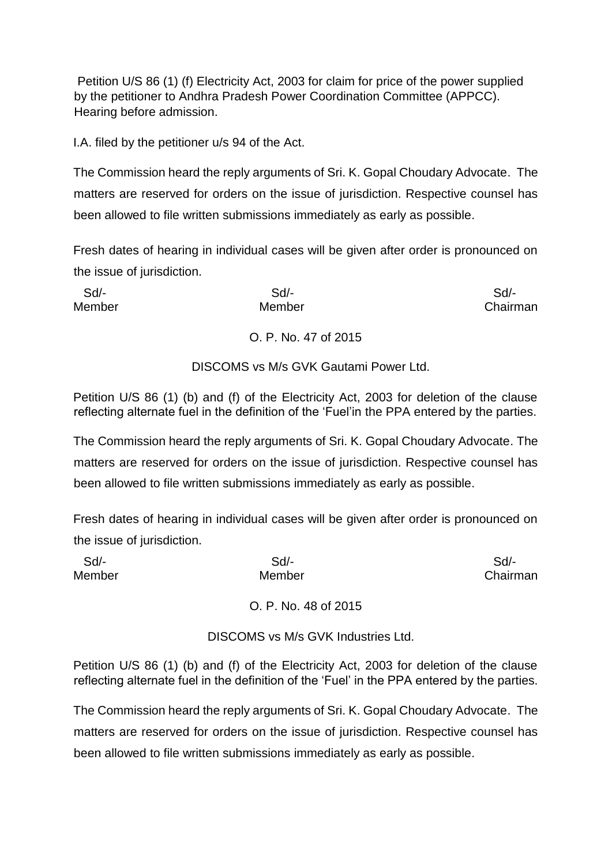Petition U/S 86 (1) (f) Electricity Act, 2003 for claim for price of the power supplied by the petitioner to Andhra Pradesh Power Coordination Committee (APPCC). Hearing before admission.

I.A. filed by the petitioner u/s 94 of the Act.

The Commission heard the reply arguments of Sri. K. Gopal Choudary Advocate. The matters are reserved for orders on the issue of jurisdiction. Respective counsel has been allowed to file written submissions immediately as early as possible.

Fresh dates of hearing in individual cases will be given after order is pronounced on the issue of jurisdiction.

| -Sd/   | $Sd$ -                                | Sd       |
|--------|---------------------------------------|----------|
| Member | Member                                | Chairman |
|        |                                       |          |
|        | O. P. No. 47 of 2015                  |          |
|        |                                       |          |
|        | DISCOMS vs M/s GVK Gautami Power Ltd. |          |

Petition U/S 86 (1) (b) and (f) of the Electricity Act, 2003 for deletion of the clause reflecting alternate fuel in the definition of the 'Fuel'in the PPA entered by the parties.

The Commission heard the reply arguments of Sri. K. Gopal Choudary Advocate. The matters are reserved for orders on the issue of jurisdiction. Respective counsel has been allowed to file written submissions immediately as early as possible.

Fresh dates of hearing in individual cases will be given after order is pronounced on the issue of jurisdiction.

| Sd/-   | $Sd$ -               | Sd       |
|--------|----------------------|----------|
| Member | Member               | Chairman |
|        | O. P. No. 48 of 2015 |          |

DISCOMS vs M/s GVK Industries Ltd.

Petition U/S 86 (1) (b) and (f) of the Electricity Act, 2003 for deletion of the clause reflecting alternate fuel in the definition of the 'Fuel' in the PPA entered by the parties.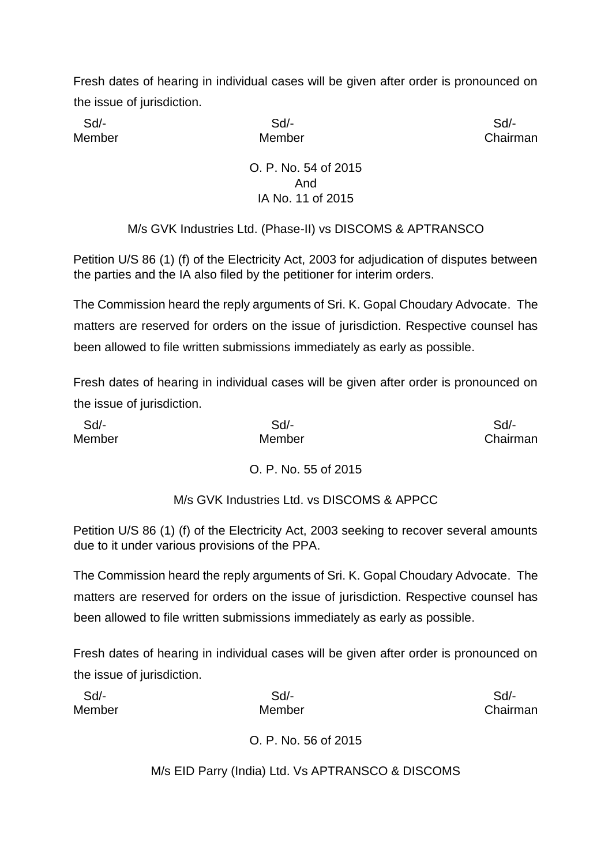Sd/- Sd/- Sd/-

Member **Member** Member **Chairman** 

# O. P. No. 54 of 2015 And IA No. 11 of 2015

M/s GVK Industries Ltd. (Phase-II) vs DISCOMS & APTRANSCO

Petition U/S 86 (1) (f) of the Electricity Act, 2003 for adjudication of disputes between the parties and the IA also filed by the petitioner for interim orders.

The Commission heard the reply arguments of Sri. K. Gopal Choudary Advocate. The matters are reserved for orders on the issue of jurisdiction. Respective counsel has been allowed to file written submissions immediately as early as possible.

Fresh dates of hearing in individual cases will be given after order is pronounced on the issue of jurisdiction.

| Sd/-   | Sd/-   | Sd/-     |
|--------|--------|----------|
| Member | Member | Chairman |

# O. P. No. 55 of 2015

M/s GVK Industries Ltd. vs DISCOMS & APPCC

Petition U/S 86 (1) (f) of the Electricity Act, 2003 seeking to recover several amounts due to it under various provisions of the PPA.

The Commission heard the reply arguments of Sri. K. Gopal Choudary Advocate. The matters are reserved for orders on the issue of jurisdiction. Respective counsel has been allowed to file written submissions immediately as early as possible.

Fresh dates of hearing in individual cases will be given after order is pronounced on the issue of jurisdiction.

| Sd/-   | $Sd$ - | Sd/-     |
|--------|--------|----------|
| Member | Member | Chairman |
|        |        |          |

O. P. No. 56 of 2015

M/s EID Parry (India) Ltd. Vs APTRANSCO & DISCOMS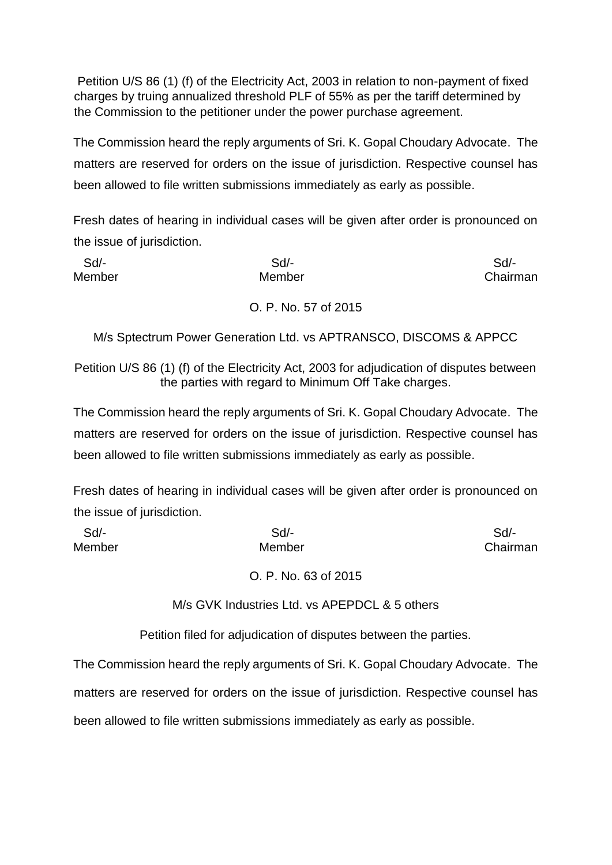Petition U/S 86 (1) (f) of the Electricity Act, 2003 in relation to non-payment of fixed charges by truing annualized threshold PLF of 55% as per the tariff determined by the Commission to the petitioner under the power purchase agreement.

The Commission heard the reply arguments of Sri. K. Gopal Choudary Advocate. The matters are reserved for orders on the issue of jurisdiction. Respective counsel has been allowed to file written submissions immediately as early as possible.

Fresh dates of hearing in individual cases will be given after order is pronounced on the issue of jurisdiction.

| Sd     | Sd                   | Sd       |
|--------|----------------------|----------|
| Member | Member               | Chairman |
|        | O. P. No. 57 of 2015 |          |

M/s Sptectrum Power Generation Ltd. vs APTRANSCO, DISCOMS & APPCC

Petition U/S 86 (1) (f) of the Electricity Act, 2003 for adjudication of disputes between the parties with regard to Minimum Off Take charges.

The Commission heard the reply arguments of Sri. K. Gopal Choudary Advocate. The matters are reserved for orders on the issue of jurisdiction. Respective counsel has been allowed to file written submissions immediately as early as possible.

Fresh dates of hearing in individual cases will be given after order is pronounced on the issue of jurisdiction.

| Sd/-   | Sd/-                 | Sd/-     |
|--------|----------------------|----------|
| Member | Member               | Chairman |
|        | O. P. No. 63 of 2015 |          |

M/s GVK Industries Ltd. vs APEPDCL & 5 others

Petition filed for adjudication of disputes between the parties.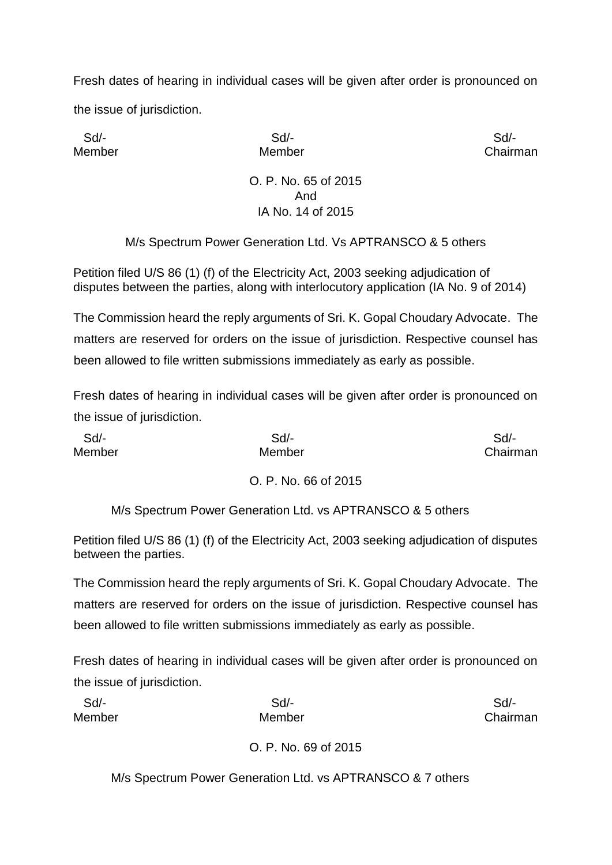Sd/- Sd/- Sd/-

Member Member Chairman

#### O. P. No. 65 of 2015 And IA No. 14 of 2015

M/s Spectrum Power Generation Ltd. Vs APTRANSCO & 5 others

Petition filed U/S 86 (1) (f) of the Electricity Act, 2003 seeking adjudication of disputes between the parties, along with interlocutory application (IA No. 9 of 2014)

The Commission heard the reply arguments of Sri. K. Gopal Choudary Advocate. The matters are reserved for orders on the issue of jurisdiction. Respective counsel has been allowed to file written submissions immediately as early as possible.

Fresh dates of hearing in individual cases will be given after order is pronounced on the issue of jurisdiction.

| Sd/-   | $Sd$ -               | Sd       |
|--------|----------------------|----------|
| Member | Member               | Chairman |
|        | O. P. No. 66 of 2015 |          |

M/s Spectrum Power Generation Ltd. vs APTRANSCO & 5 others

Petition filed U/S 86 (1) (f) of the Electricity Act, 2003 seeking adjudication of disputes between the parties.

The Commission heard the reply arguments of Sri. K. Gopal Choudary Advocate. The matters are reserved for orders on the issue of jurisdiction. Respective counsel has been allowed to file written submissions immediately as early as possible.

Fresh dates of hearing in individual cases will be given after order is pronounced on the issue of jurisdiction.

| Sd     | $Sd$ -               | $Sd$ -   |
|--------|----------------------|----------|
| Member | Member               | Chairman |
|        | O. P. No. 69 of 2015 |          |

M/s Spectrum Power Generation Ltd. vs APTRANSCO & 7 others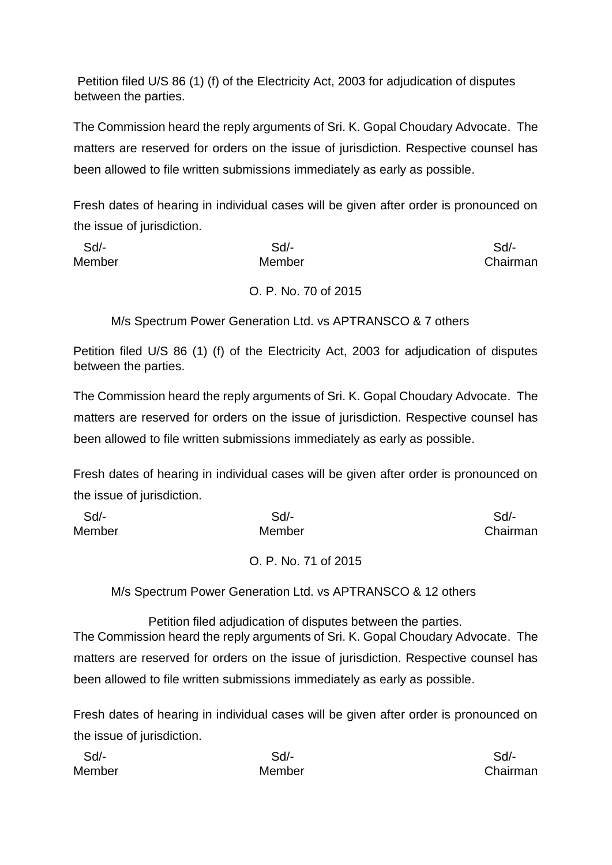Petition filed U/S 86 (1) (f) of the Electricity Act, 2003 for adjudication of disputes between the parties.

The Commission heard the reply arguments of Sri. K. Gopal Choudary Advocate. The matters are reserved for orders on the issue of jurisdiction. Respective counsel has been allowed to file written submissions immediately as early as possible.

Fresh dates of hearing in individual cases will be given after order is pronounced on the issue of jurisdiction.

| Sd     | Sd/-              | Sd/-     |
|--------|-------------------|----------|
| Member | Member            | Chairman |
|        | ----<br>.<br>$-1$ |          |

O. P. No. 70 of 2015

M/s Spectrum Power Generation Ltd. vs APTRANSCO & 7 others

Petition filed U/S 86 (1) (f) of the Electricity Act, 2003 for adjudication of disputes between the parties.

The Commission heard the reply arguments of Sri. K. Gopal Choudary Advocate. The matters are reserved for orders on the issue of jurisdiction. Respective counsel has been allowed to file written submissions immediately as early as possible.

Fresh dates of hearing in individual cases will be given after order is pronounced on the issue of jurisdiction.

| Sd/-   | Sd/-   | Sd/-     |
|--------|--------|----------|
| Member | Member | Chairman |
|        |        |          |

# O. P. No. 71 of 2015

M/s Spectrum Power Generation Ltd. vs APTRANSCO & 12 others

Petition filed adjudication of disputes between the parties. The Commission heard the reply arguments of Sri. K. Gopal Choudary Advocate. The matters are reserved for orders on the issue of jurisdiction. Respective counsel has been allowed to file written submissions immediately as early as possible.

| Sd/-   | Sd/-   | Sd/-     |
|--------|--------|----------|
| Member | Member | Chairman |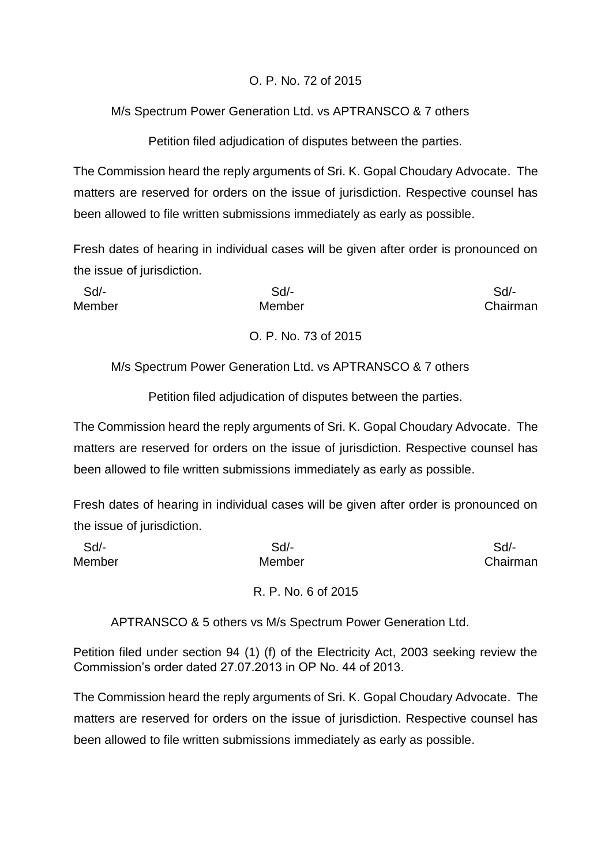# O. P. No. 72 of 2015

# M/s Spectrum Power Generation Ltd. vs APTRANSCO & 7 others

Petition filed adjudication of disputes between the parties.

The Commission heard the reply arguments of Sri. K. Gopal Choudary Advocate. The matters are reserved for orders on the issue of jurisdiction. Respective counsel has been allowed to file written submissions immediately as early as possible.

Fresh dates of hearing in individual cases will be given after order is pronounced on the issue of jurisdiction.

| $Sd$ - | $Sd$ -               | Sd       |
|--------|----------------------|----------|
| Member | Member               | Chairman |
|        | O. P. No. 73 of 2015 |          |

M/s Spectrum Power Generation Ltd. vs APTRANSCO & 7 others

Petition filed adjudication of disputes between the parties.

The Commission heard the reply arguments of Sri. K. Gopal Choudary Advocate. The matters are reserved for orders on the issue of jurisdiction. Respective counsel has been allowed to file written submissions immediately as early as possible.

Fresh dates of hearing in individual cases will be given after order is pronounced on the issue of jurisdiction.

| Sd     | $Sd$ -              | Sd       |
|--------|---------------------|----------|
| Member | Member              | Chairman |
|        | R. P. No. 6 of 2015 |          |

APTRANSCO & 5 others vs M/s Spectrum Power Generation Ltd.

Petition filed under section 94 (1) (f) of the Electricity Act, 2003 seeking review the Commission's order dated 27.07.2013 in OP No. 44 of 2013.